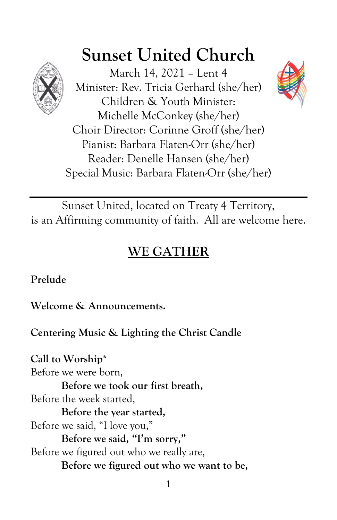

# **Sunset United Church**

March 14, 2021 – Lent 4 Minister: Rev. Tricia Gerhard (she/her) Children & Youth Minister: Michelle McConkey (she/her) Choir Director: Corinne Groff (she/her) Pianist: Barbara Flaten-Orr (she/her) Reader: Denelle Hansen (she/her) Special Music: Barbara Flaten-Orr (she/her)



# **WE GATHER**

**Prelude**

**Welcome & Announcements.**

**Centering Music & Lighting the Christ Candle**

**Call to Worship\*** Before we were born, **Before we took our first breath,** Before the week started, **Before the year started,** Before we said, "I love you," **Before we said, "I'm sorry,"** Before we figured out who we really are, **Before we figured out who we want to be,**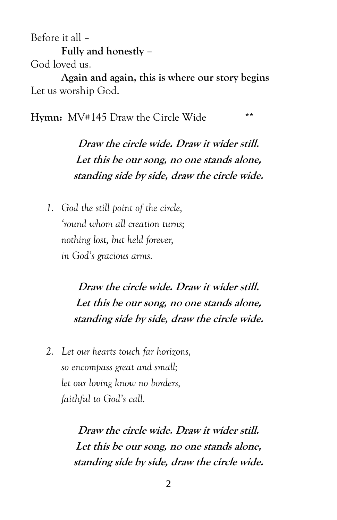Before it all – **Fully and honestly –**

God loved us.

**Again and again, this is where our story begins** Let us worship God.

**Hymn:** MV#145 Draw the Circle Wide \*\*

**Draw the circle wide. Draw it wider still. Let this be our song, no one stands alone, standing side by side, draw the circle wide.**

*1. God the still point of the circle, 'round whom all creation turns; nothing lost, but held forever, in God's gracious arms.*

> **Draw the circle wide. Draw it wider still. Let this be our song, no one stands alone, standing side by side, draw the circle wide.**

*2. Let our hearts touch far horizons, so encompass great and small; let our loving know no borders, faithful to God's call.*

> **Draw the circle wide. Draw it wider still. Let this be our song, no one stands alone, standing side by side, draw the circle wide.**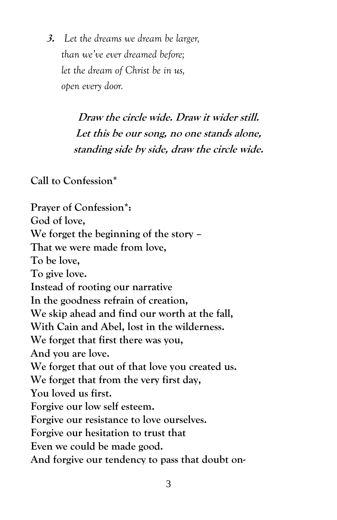**3.** *Let the dreams we dream be larger, than we've ever dreamed before; let the dream of Christ be in us, open every door.*

> **Draw the circle wide. Draw it wider still. Let this be our song, no one stands alone, standing side by side, draw the circle wide.**

**Call to Confession\***

**Prayer of Confession\*: God of love, We forget the beginning of the story – That we were made from love, To be love, To give love. Instead of rooting our narrative In the goodness refrain of creation, We skip ahead and find our worth at the fall, With Cain and Abel, lost in the wilderness. We forget that first there was you, And you are love. We forget that out of that love you created us. We forget that from the very first day, You loved us first. Forgive our low self esteem. Forgive our resistance to love ourselves. Forgive our hesitation to trust that Even we could be made good. And forgive our tendency to pass that doubt on-**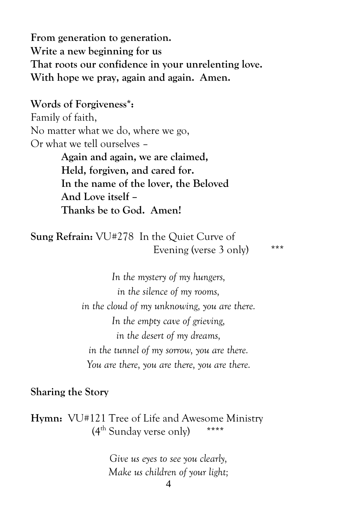**From generation to generation. Write a new beginning for us That roots our confidence in your unrelenting love. With hope we pray, again and again. Amen.**

**Words of Forgiveness\*:** Family of faith, No matter what we do, where we go, Or what we tell ourselves –

> **Again and again, we are claimed, Held, forgiven, and cared for. In the name of the lover, the Beloved And Love itself – Thanks be to God. Amen!**

**Sung Refrain:** VU#278 In the Quiet Curve of Evening (verse 3 only) \*\*\*

*In the mystery of my hungers, in the silence of my rooms, in the cloud of my unknowing, you are there. In the empty cave of grieving, in the desert of my dreams, in the tunnel of my sorrow, you are there. You are there, you are there, you are there.*

**Sharing the Story**

**Hymn:** VU#121 Tree of Life and Awesome Ministry  $(4^{\text{th}}$  Sunday verse only) \*\*\*\*

> *Give us eyes to see you clearly, Make us children of your light;*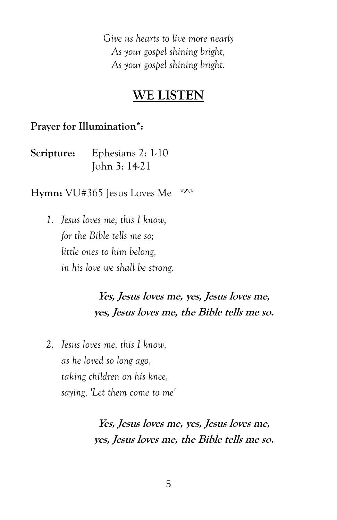*Give us hearts to live more nearly As your gospel shining bright, As your gospel shining bright.*

## **WE LISTEN**

#### **Prayer for Illumination\*:**

| Scripture: | Ephesians 2: 1-10 |
|------------|-------------------|
|            | John 3: 14-21     |

**Hymn:** VU#365 Jesus Loves Me \*^\*

*1. Jesus loves me, this I know, for the Bible tells me so; little ones to him belong, in his love we shall be strong.*

# **Yes, Jesus loves me, yes, Jesus loves me, yes, Jesus loves me, the Bible tells me so.**

*2. Jesus loves me, this I know, as he loved so long ago, taking children on his knee, saying, 'Let them come to me'*

> **Yes, Jesus loves me, yes, Jesus loves me, yes, Jesus loves me, the Bible tells me so.**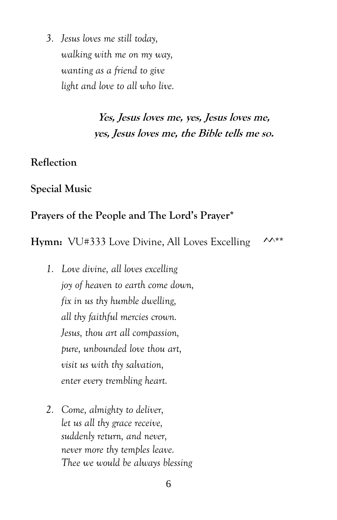*3. Jesus loves me still today, walking with me on my way, wanting as a friend to give light and love to all who live.*

## **Yes, Jesus loves me, yes, Jesus loves me, yes, Jesus loves me, the Bible tells me so.**

#### **Reflection**

**Special Music**

#### **Prayers of the People and The Lord's Prayer\***

Hymn: VU#333 Love Divine, All Loves Excelling  $\sim$ \*\*

- *1. Love divine, all loves excelling joy of heaven to earth come down, fix in us thy humble dwelling, all thy faithful mercies crown. Jesus, thou art all compassion, pure, unbounded love thou art, visit us with thy salvation, enter every trembling heart.*
- *2. Come, almighty to deliver, let us all thy grace receive, suddenly return, and never, never more thy temples leave. Thee we would be always blessing*